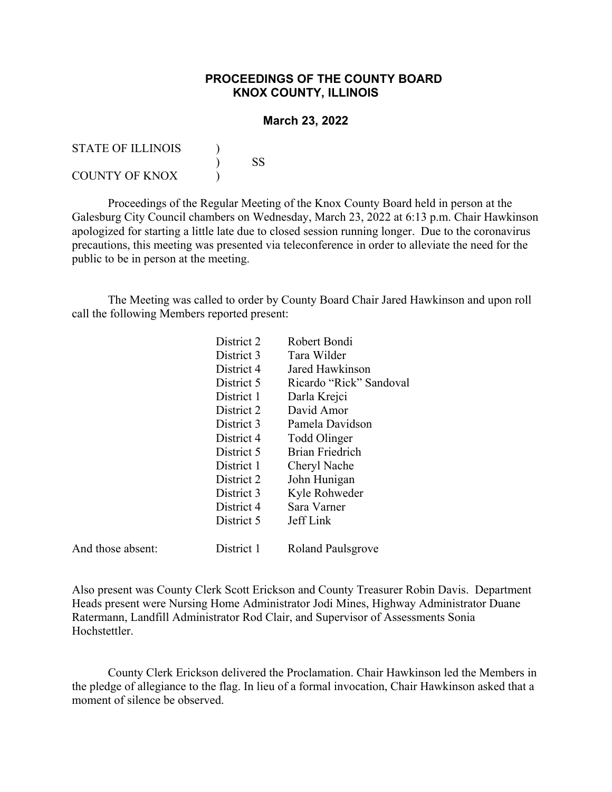## **PROCEEDINGS OF THE COUNTY BOARD KNOX COUNTY, ILLINOIS**

## **March 23, 2022**

| STATE OF ILLINOIS     |    |
|-----------------------|----|
|                       | SS |
| <b>COUNTY OF KNOX</b> |    |

Proceedings of the Regular Meeting of the Knox County Board held in person at the Galesburg City Council chambers on Wednesday, March 23, 2022 at 6:13 p.m. Chair Hawkinson apologized for starting a little late due to closed session running longer. Due to the coronavirus precautions, this meeting was presented via teleconference in order to alleviate the need for the public to be in person at the meeting.

The Meeting was called to order by County Board Chair Jared Hawkinson and upon roll call the following Members reported present:

| District 2 | Robert Bondi            |
|------------|-------------------------|
| District 3 | Tara Wilder             |
| District 4 | Jared Hawkinson         |
| District 5 | Ricardo "Rick" Sandoval |
| District 1 | Darla Krejci            |
| District 2 | David Amor              |
| District 3 | Pamela Davidson         |
| District 4 | Todd Olinger            |
| District 5 | <b>Brian Friedrich</b>  |
| District 1 | Cheryl Nache            |
| District 2 | John Hunigan            |
| District 3 | Kyle Rohweder           |
| District 4 | Sara Varner             |
| District 5 | Jeff Link               |
|            |                         |
|            |                         |

And those absent: District 1 Roland Paulsgrove

Also present was County Clerk Scott Erickson and County Treasurer Robin Davis. Department Heads present were Nursing Home Administrator Jodi Mines, Highway Administrator Duane Ratermann, Landfill Administrator Rod Clair, and Supervisor of Assessments Sonia Hochstettler.

County Clerk Erickson delivered the Proclamation. Chair Hawkinson led the Members in the pledge of allegiance to the flag. In lieu of a formal invocation, Chair Hawkinson asked that a moment of silence be observed.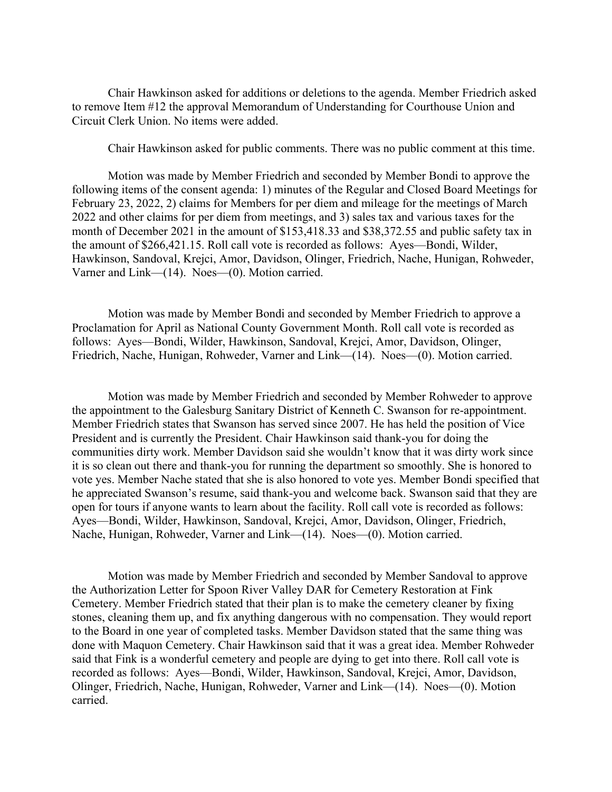Chair Hawkinson asked for additions or deletions to the agenda. Member Friedrich asked to remove Item #12 the approval Memorandum of Understanding for Courthouse Union and Circuit Clerk Union. No items were added.

Chair Hawkinson asked for public comments. There was no public comment at this time.

Motion was made by Member Friedrich and seconded by Member Bondi to approve the following items of the consent agenda: 1) minutes of the Regular and Closed Board Meetings for February 23, 2022, 2) claims for Members for per diem and mileage for the meetings of March 2022 and other claims for per diem from meetings, and 3) sales tax and various taxes for the month of December 2021 in the amount of \$153,418.33 and \$38,372.55 and public safety tax in the amount of \$266,421.15. Roll call vote is recorded as follows: Ayes—Bondi, Wilder, Hawkinson, Sandoval, Krejci, Amor, Davidson, Olinger, Friedrich, Nache, Hunigan, Rohweder, Varner and Link—(14). Noes—(0). Motion carried.

Motion was made by Member Bondi and seconded by Member Friedrich to approve a Proclamation for April as National County Government Month. Roll call vote is recorded as follows: Ayes—Bondi, Wilder, Hawkinson, Sandoval, Krejci, Amor, Davidson, Olinger, Friedrich, Nache, Hunigan, Rohweder, Varner and Link—(14). Noes—(0). Motion carried.

Motion was made by Member Friedrich and seconded by Member Rohweder to approve the appointment to the Galesburg Sanitary District of Kenneth C. Swanson for re-appointment. Member Friedrich states that Swanson has served since 2007. He has held the position of Vice President and is currently the President. Chair Hawkinson said thank-you for doing the communities dirty work. Member Davidson said she wouldn't know that it was dirty work since it is so clean out there and thank-you for running the department so smoothly. She is honored to vote yes. Member Nache stated that she is also honored to vote yes. Member Bondi specified that he appreciated Swanson's resume, said thank-you and welcome back. Swanson said that they are open for tours if anyone wants to learn about the facility. Roll call vote is recorded as follows: Ayes—Bondi, Wilder, Hawkinson, Sandoval, Krejci, Amor, Davidson, Olinger, Friedrich, Nache, Hunigan, Rohweder, Varner and Link—(14). Noes—(0). Motion carried.

Motion was made by Member Friedrich and seconded by Member Sandoval to approve the Authorization Letter for Spoon River Valley DAR for Cemetery Restoration at Fink Cemetery. Member Friedrich stated that their plan is to make the cemetery cleaner by fixing stones, cleaning them up, and fix anything dangerous with no compensation. They would report to the Board in one year of completed tasks. Member Davidson stated that the same thing was done with Maquon Cemetery. Chair Hawkinson said that it was a great idea. Member Rohweder said that Fink is a wonderful cemetery and people are dying to get into there. Roll call vote is recorded as follows: Ayes—Bondi, Wilder, Hawkinson, Sandoval, Krejci, Amor, Davidson, Olinger, Friedrich, Nache, Hunigan, Rohweder, Varner and Link—(14). Noes—(0). Motion carried.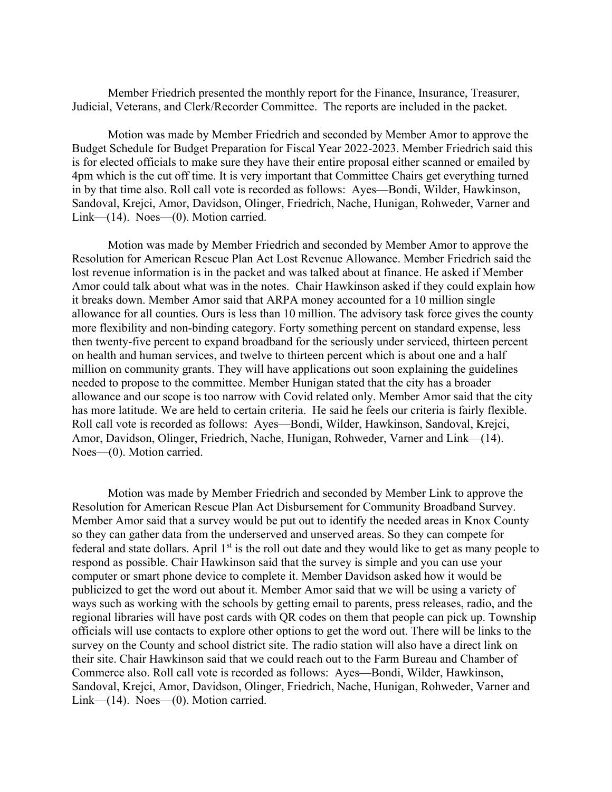Member Friedrich presented the monthly report for the Finance, Insurance, Treasurer, Judicial, Veterans, and Clerk/Recorder Committee. The reports are included in the packet.

Motion was made by Member Friedrich and seconded by Member Amor to approve the Budget Schedule for Budget Preparation for Fiscal Year 2022-2023. Member Friedrich said this is for elected officials to make sure they have their entire proposal either scanned or emailed by 4pm which is the cut off time. It is very important that Committee Chairs get everything turned in by that time also. Roll call vote is recorded as follows: Ayes—Bondi, Wilder, Hawkinson, Sandoval, Krejci, Amor, Davidson, Olinger, Friedrich, Nache, Hunigan, Rohweder, Varner and Link—(14). Noes—(0). Motion carried.

Motion was made by Member Friedrich and seconded by Member Amor to approve the Resolution for American Rescue Plan Act Lost Revenue Allowance. Member Friedrich said the lost revenue information is in the packet and was talked about at finance. He asked if Member Amor could talk about what was in the notes. Chair Hawkinson asked if they could explain how it breaks down. Member Amor said that ARPA money accounted for a 10 million single allowance for all counties. Ours is less than 10 million. The advisory task force gives the county more flexibility and non-binding category. Forty something percent on standard expense, less then twenty-five percent to expand broadband for the seriously under serviced, thirteen percent on health and human services, and twelve to thirteen percent which is about one and a half million on community grants. They will have applications out soon explaining the guidelines needed to propose to the committee. Member Hunigan stated that the city has a broader allowance and our scope is too narrow with Covid related only. Member Amor said that the city has more latitude. We are held to certain criteria. He said he feels our criteria is fairly flexible. Roll call vote is recorded as follows: Ayes—Bondi, Wilder, Hawkinson, Sandoval, Krejci, Amor, Davidson, Olinger, Friedrich, Nache, Hunigan, Rohweder, Varner and Link—(14). Noes—(0). Motion carried.

Motion was made by Member Friedrich and seconded by Member Link to approve the Resolution for American Rescue Plan Act Disbursement for Community Broadband Survey. Member Amor said that a survey would be put out to identify the needed areas in Knox County so they can gather data from the underserved and unserved areas. So they can compete for federal and state dollars. April  $1<sup>st</sup>$  is the roll out date and they would like to get as many people to respond as possible. Chair Hawkinson said that the survey is simple and you can use your computer or smart phone device to complete it. Member Davidson asked how it would be publicized to get the word out about it. Member Amor said that we will be using a variety of ways such as working with the schools by getting email to parents, press releases, radio, and the regional libraries will have post cards with QR codes on them that people can pick up. Township officials will use contacts to explore other options to get the word out. There will be links to the survey on the County and school district site. The radio station will also have a direct link on their site. Chair Hawkinson said that we could reach out to the Farm Bureau and Chamber of Commerce also. Roll call vote is recorded as follows: Ayes—Bondi, Wilder, Hawkinson, Sandoval, Krejci, Amor, Davidson, Olinger, Friedrich, Nache, Hunigan, Rohweder, Varner and Link—(14). Noes—(0). Motion carried.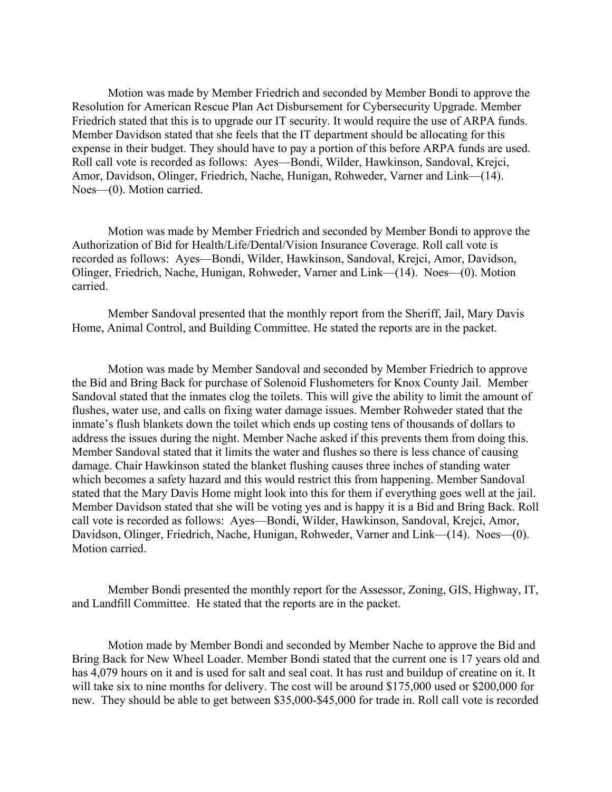Motion was made by Member Friedrich and seconded by Member Bondi to approve the Resolution for American Rescue Plan Act Disbursement for Cybersecurity Upgrade. Member Friedrich stated that this is to upgrade our IT security. It would require the use of ARPA funds. Member Davidson stated that she feels that the IT department should be allocating for this expense in their budget. They should have to pay a portion of this before ARPA funds are used. Roll call vote is recorded as follows: Ayes—Bondi, Wilder, Hawkinson, Sandoval, Krejci, Amor, Davidson, Olinger, Friedrich, Nache, Hunigan, Rohweder, Varner and Link—(14). Noes—(0). Motion carried.

Motion was made by Member Friedrich and seconded by Member Bondi to approve the Authorization of Bid for Health/Life/Dental/Vision Insurance Coverage. Roll call vote is recorded as follows: Ayes—Bondi, Wilder, Hawkinson, Sandoval, Krejci, Amor, Davidson, Olinger, Friedrich, Nache, Hunigan, Rohweder, Varner and Link—(14). Noes—(0). Motion carried.

Member Sandoval presented that the monthly report from the Sheriff, Jail, Mary Davis Home, Animal Control, and Building Committee. He stated the reports are in the packet.

Motion was made by Member Sandoval and seconded by Member Friedrich to approve the Bid and Bring Back for purchase of Solenoid Flushometers for Knox County Jail. Member Sandoval stated that the inmates clog the toilets. This will give the ability to limit the amount of flushes, water use, and calls on fixing water damage issues. Member Rohweder stated that the inmate's flush blankets down the toilet which ends up costing tens of thousands of dollars to address the issues during the night. Member Nache asked if this prevents them from doing this. Member Sandoval stated that it limits the water and flushes so there is less chance of causing damage. Chair Hawkinson stated the blanket flushing causes three inches of standing water which becomes a safety hazard and this would restrict this from happening. Member Sandoval stated that the Mary Davis Home might look into this for them if everything goes well at the jail. Member Davidson stated that she will be voting yes and is happy it is a Bid and Bring Back. Roll call vote is recorded as follows: Ayes—Bondi, Wilder, Hawkinson, Sandoval, Krejci, Amor, Davidson, Olinger, Friedrich, Nache, Hunigan, Rohweder, Varner and Link—(14). Noes—(0). Motion carried.

Member Bondi presented the monthly report for the Assessor, Zoning, GIS, Highway, IT, and Landfill Committee. He stated that the reports are in the packet.

Motion made by Member Bondi and seconded by Member Nache to approve the Bid and Bring Back for New Wheel Loader. Member Bondi stated that the current one is 17 years old and has 4,079 hours on it and is used for salt and seal coat. It has rust and buildup of creatine on it. It will take six to nine months for delivery. The cost will be around \$175,000 used or \$200,000 for new. They should be able to get between \$35,000-\$45,000 for trade in. Roll call vote is recorded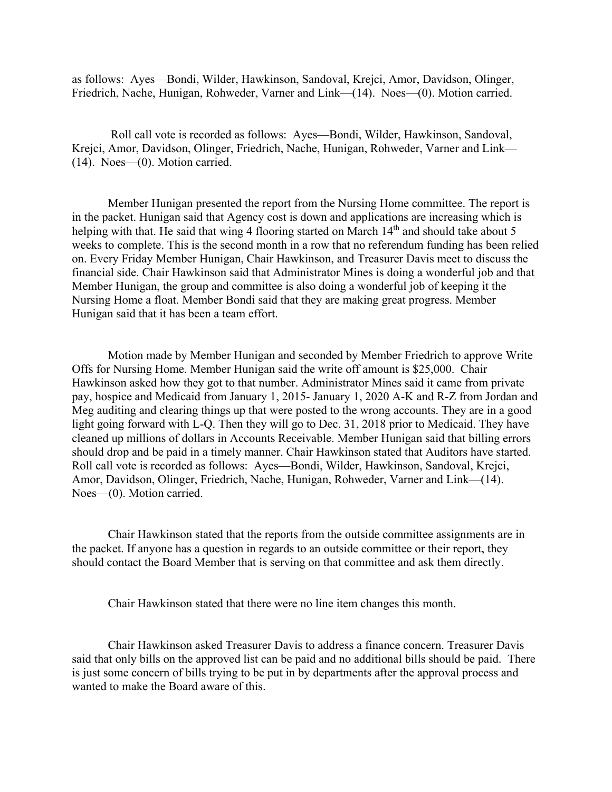as follows: Ayes—Bondi, Wilder, Hawkinson, Sandoval, Krejci, Amor, Davidson, Olinger, Friedrich, Nache, Hunigan, Rohweder, Varner and Link—(14). Noes—(0). Motion carried.

Roll call vote is recorded as follows: Ayes—Bondi, Wilder, Hawkinson, Sandoval, Krejci, Amor, Davidson, Olinger, Friedrich, Nache, Hunigan, Rohweder, Varner and Link— (14). Noes—(0). Motion carried.

Member Hunigan presented the report from the Nursing Home committee. The report is in the packet. Hunigan said that Agency cost is down and applications are increasing which is helping with that. He said that wing 4 flooring started on March 14<sup>th</sup> and should take about 5 weeks to complete. This is the second month in a row that no referendum funding has been relied on. Every Friday Member Hunigan, Chair Hawkinson, and Treasurer Davis meet to discuss the financial side. Chair Hawkinson said that Administrator Mines is doing a wonderful job and that Member Hunigan, the group and committee is also doing a wonderful job of keeping it the Nursing Home a float. Member Bondi said that they are making great progress. Member Hunigan said that it has been a team effort.

Motion made by Member Hunigan and seconded by Member Friedrich to approve Write Offs for Nursing Home. Member Hunigan said the write off amount is \$25,000. Chair Hawkinson asked how they got to that number. Administrator Mines said it came from private pay, hospice and Medicaid from January 1, 2015- January 1, 2020 A-K and R-Z from Jordan and Meg auditing and clearing things up that were posted to the wrong accounts. They are in a good light going forward with L-Q. Then they will go to Dec. 31, 2018 prior to Medicaid. They have cleaned up millions of dollars in Accounts Receivable. Member Hunigan said that billing errors should drop and be paid in a timely manner. Chair Hawkinson stated that Auditors have started. Roll call vote is recorded as follows: Ayes—Bondi, Wilder, Hawkinson, Sandoval, Krejci, Amor, Davidson, Olinger, Friedrich, Nache, Hunigan, Rohweder, Varner and Link—(14). Noes—(0). Motion carried.

Chair Hawkinson stated that the reports from the outside committee assignments are in the packet. If anyone has a question in regards to an outside committee or their report, they should contact the Board Member that is serving on that committee and ask them directly.

Chair Hawkinson stated that there were no line item changes this month.

Chair Hawkinson asked Treasurer Davis to address a finance concern. Treasurer Davis said that only bills on the approved list can be paid and no additional bills should be paid. There is just some concern of bills trying to be put in by departments after the approval process and wanted to make the Board aware of this.